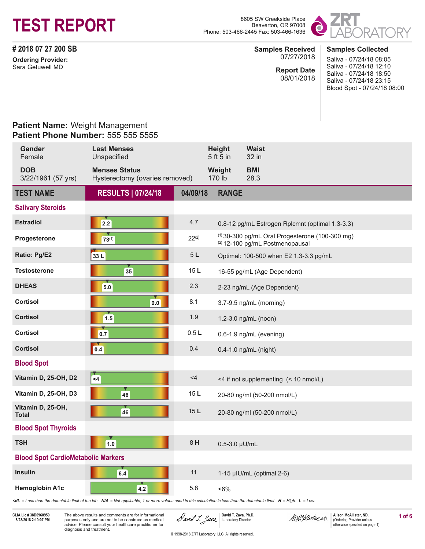

Beaverton, OR 97008 Phone: 503-466-2445 Fax: 503-466-1636



**# 2018 07 27 200 SB Ordering Provider:** Sara Getuwell MD

#### **Samples Collected Samples Received** 07/27/2018

**Report Date** 08/01/2018 Saliva - 07/24/18 08:05 Saliva - 07/24/18 12:10 Saliva - 07/24/18 18:50 Saliva - 07/24/18 23:15 Blood Spot - 07/24/18 08:00

### **Patient Name:** Weight Management **Patient Phone Number:** 555 555 5555

| <b>Gender</b><br>Female                   | <b>Last Menses</b><br>Unspecified                                                                                                                                                                                                         |            | Height<br>5 ft 5 in | <b>Waist</b><br>32 in                                                                |
|-------------------------------------------|-------------------------------------------------------------------------------------------------------------------------------------------------------------------------------------------------------------------------------------------|------------|---------------------|--------------------------------------------------------------------------------------|
| <b>DOB</b><br>3/22/1961 (57 yrs)          | <b>Menses Status</b><br>Hysterectomy (ovaries removed)                                                                                                                                                                                    |            | Weight<br>170 lb    | <b>BMI</b><br>28.3                                                                   |
| <b>TEST NAME</b>                          | <b>RESULTS   07/24/18</b>                                                                                                                                                                                                                 | 04/09/18   | <b>RANGE</b>        |                                                                                      |
| <b>Salivary Steroids</b>                  |                                                                                                                                                                                                                                           |            |                     |                                                                                      |
| <b>Estradiol</b>                          | 2.2                                                                                                                                                                                                                                       | 4.7        |                     | 0.8-12 pg/mL Estrogen Rplcmnt (optimal 1.3-3.3)                                      |
| Progesterone                              | $73^{(1)}$                                                                                                                                                                                                                                | $22^{(2)}$ |                     | $(1)$ 30-300 pg/mL Oral Progesterone (100-300 mg)<br>(2) 12-100 pg/mL Postmenopausal |
| Ratio: Pg/E2                              | 33L                                                                                                                                                                                                                                       | $5L$       |                     | Optimal: 100-500 when E2 1.3-3.3 pg/mL                                               |
| <b>Testosterone</b>                       | 35                                                                                                                                                                                                                                        | 15L        |                     | 16-55 pg/mL (Age Dependent)                                                          |
| <b>DHEAS</b>                              | 5.0                                                                                                                                                                                                                                       | 2.3        |                     | 2-23 ng/mL (Age Dependent)                                                           |
| <b>Cortisol</b>                           | 9.0                                                                                                                                                                                                                                       | 8.1        |                     | 3.7-9.5 ng/mL (morning)                                                              |
| <b>Cortisol</b>                           | $1.5$                                                                                                                                                                                                                                     | 1.9        |                     | 1.2-3.0 ng/mL (noon)                                                                 |
| <b>Cortisol</b>                           | 0.7                                                                                                                                                                                                                                       | 0.5L       |                     | 0.6-1.9 ng/mL (evening)                                                              |
| <b>Cortisol</b>                           | $\sqrt{0.4}$                                                                                                                                                                                                                              | 0.4        |                     | 0.4-1.0 ng/mL (night)                                                                |
| <b>Blood Spot</b>                         |                                                                                                                                                                                                                                           |            |                     |                                                                                      |
| Vitamin D, 25-OH, D2                      | $\overline{4}$                                                                                                                                                                                                                            | $<$ 4      |                     | <4 if not supplementing (< 10 nmol/L)                                                |
| Vitamin D, 25-OH, D3                      | 46                                                                                                                                                                                                                                        | 15L        |                     | 20-80 ng/ml (50-200 nmol/L)                                                          |
| Vitamin D, 25-OH,<br><b>Total</b>         | 46                                                                                                                                                                                                                                        | 15L        |                     | 20-80 ng/ml (50-200 nmol/L)                                                          |
| <b>Blood Spot Thyroids</b>                |                                                                                                                                                                                                                                           |            |                     |                                                                                      |
| <b>TSH</b>                                | $1.0$                                                                                                                                                                                                                                     | 8H         | 0.5-3.0 µU/mL       |                                                                                      |
| <b>Blood Spot CardioMetabolic Markers</b> |                                                                                                                                                                                                                                           |            |                     |                                                                                      |
| <b>Insulin</b>                            | 6.4                                                                                                                                                                                                                                       | 11         |                     | 1-15 µIU/mL (optimal 2-6)                                                            |
| <b>Hemoglobin A1c</b>                     | 4.2<br><dl <math="" =="" detectable="" lab.="" less="" limit="" of="" than="" the="">N/A = Not applicable; 1 or more values used in this calculation is less than the detectable limit. <math>H = H</math>iqh. <math>L = L</math>ow.</dl> | 5.8        | $6%$                |                                                                                      |

**CLIA Lic # 38D0960950**

LIA Lic #38D0960950 The above results and comments are for informational **ALTIC ALTIC David T. Zava, Ph.D. David T. Zava, Ph.D. ADNAUSTEAN** (Ordering Provider unless 1 of 6<br>8/23/2018 2:19:07 PM purposes only and are no purposes only and are not to be construed as medical advice. Please consult your healthcare practitioner for diagnosis and treatment.



© 1998-2018 ZRT Laboratory, LLC. All rights reserved.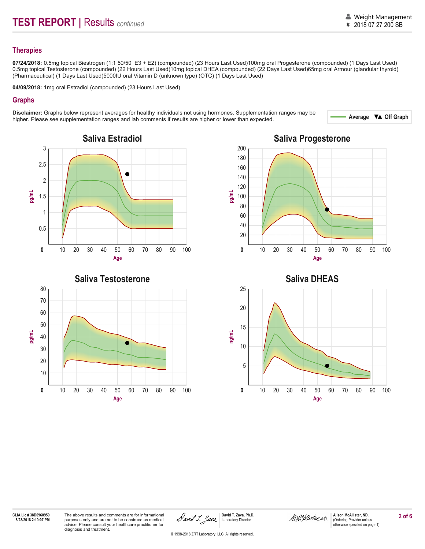#### **Therapies**

**07/24/2018:** 0.5mg topical Biestrogen (1:1 50/50 E3 + E2) (compounded) (23 Hours Last Used)100mg oral Progesterone (compounded) (1 Days Last Used) 0.5mg topical Testosterone (compounded) (22 Hours Last Used)10mg topical DHEA (compounded) (22 Days Last Used)65mg oral Armour (glandular thyroid) (Pharmaceutical) (1 Days Last Used)5000IU oral Vitamin D (unknown type) (OTC) (1 Days Last Used)

**04/09/2018:** 1mg oral Estradiol (compounded) (23 Hours Last Used)

#### **Graphs**

Disclaimer: Graphs below represent averages for healthy individuals not using hormones. Supplementation ranges may be<br>bigher Please see supplementation ranges and lab comments if results are bigher or lower than expected higher. Please see supplementation ranges and lab comments if results are higher or lower than expected. .









**Age**

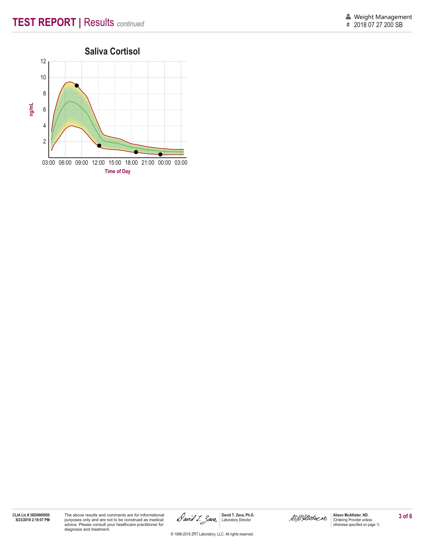

03:00 06:00 09:00 12:00 15:00 18:00 21:00 00:00 03:00 **Time of Day**

**CLIA Lic # 38D0960950**

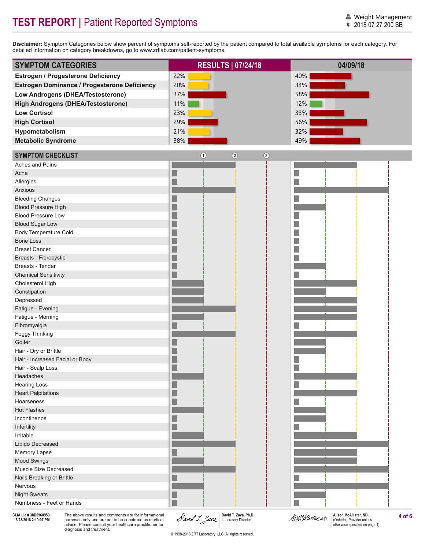# **TEST REPORT | Patient Reported Symptoms**

**Disclaimer:** Symptom Categories below show percent of symptoms self-reported by the patient compared to total available symptoms for each category. For detailed information on category breakdowns, go to www.zrtlab.com/patient-symptoms.

| <b>SYMPTOM CATEGORIES</b>                    | <b>RESULTS 07/24/18</b>                      | 04/09/18 |
|----------------------------------------------|----------------------------------------------|----------|
| <b>Estrogen / Progesterone Deficiency</b>    | 22%                                          | 40%      |
| Estrogen Dominance / Progesterone Deficiency | 20%                                          | 34%      |
| Low Androgens (DHEA/Testosterone)            | 37%                                          | 58%      |
| <b>High Androgens (DHEA/Testosterone)</b>    | 11%                                          | 12%      |
|                                              |                                              |          |
| <b>Low Cortisol</b>                          | 23%                                          | 33%      |
| <b>High Cortisol</b>                         | 29%                                          | 56%      |
| Hypometabolism                               | 21%                                          | 32%      |
| <b>Metabolic Syndrome</b>                    | 38%                                          | 49%      |
| <b>SYMPTOM CHECKLIST</b>                     | $\bigcirc$<br>$\circled{2}$<br>$\circled{3}$ |          |
| Aches and Pains                              |                                              |          |
| Acne                                         |                                              |          |
| Allergies                                    |                                              |          |
| Anxious                                      |                                              |          |
| <b>Bleeding Changes</b>                      |                                              |          |
| <b>Blood Pressure High</b>                   |                                              |          |
| <b>Blood Pressure Low</b>                    |                                              |          |
| <b>Blood Sugar Low</b>                       |                                              |          |
| <b>Body Temperature Cold</b>                 |                                              |          |
| <b>Bone Loss</b>                             |                                              |          |
| <b>Breast Cancer</b>                         |                                              |          |
| Breasts - Fibrocystic                        |                                              |          |
| Breasts - Tender                             |                                              |          |
| <b>Chemical Sensitivity</b>                  |                                              |          |
| Cholesterol High                             |                                              |          |
| Constipation                                 |                                              |          |
| Depressed                                    |                                              |          |
| Fatigue - Evening                            |                                              |          |
| Fatigue - Morning                            |                                              |          |
| Fibromyalgia                                 |                                              |          |
| Foggy Thinking                               |                                              |          |
| Goiter                                       |                                              |          |
| Hair - Dry or Brittle                        |                                              |          |
| Hair - Increased Facial or Body              |                                              |          |
| Hair - Scalp Loss<br>Headaches               |                                              |          |
| <b>Hearing Loss</b>                          |                                              |          |
| <b>Heart Palpitations</b>                    |                                              |          |
| Hoarseness                                   |                                              |          |
| <b>Hot Flashes</b>                           |                                              |          |
| Incontinence                                 |                                              |          |
| Infertility                                  |                                              |          |
| Irritable                                    |                                              |          |
| Libido Decreased                             |                                              |          |
| Memory Lapse                                 |                                              |          |
| Mood Swings                                  |                                              |          |
| Muscle Size Decreased                        |                                              |          |
| Nails Breaking or Brittle                    |                                              |          |
| Nervous                                      |                                              |          |
| <b>Night Sweats</b>                          |                                              |          |
| Numbness - Feet or Hands                     |                                              |          |
|                                              |                                              |          |

**CLIA Lic # 38D0960950**

LIA Lic # 38D9960950 The above results and comments are for informational **Alison McAllister, ND.** David T. Zava, Ph.D. **AD/MALUSTER AND ALISTER AND ALISTER AND ALISTER AND ALISTER AND ALISTER AND SEXUAL SCALE INCONSIDER A** purposes only and are not to be construed as medical advice. Please consult your healthcare practitioner for diagnosis and treatment.

**David T. Zava, Ph.D.** Laboratory Director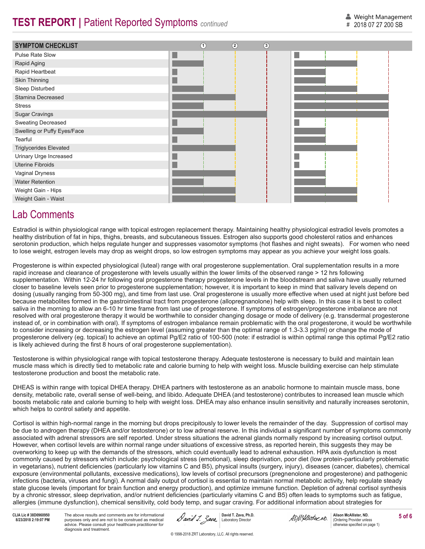## **TEST REPORT | Patient Reported Symptoms** *continued*



### Lab Comments

Estradiol is within physiological range with topical estrogen replacement therapy. Maintaining healthy physiological estradiol levels promotes a healthy distribution of fat in hips, thighs, breasts, and subcutaneous tissues. Estrogen also supports good cholesterol ratios and enhances serotonin production, which helps regulate hunger and suppresses vasomotor symptoms (hot flashes and night sweats). For women who need to lose weight, estrogen levels may drop as weight drops, so low estrogen symptoms may appear as you achieve your weight loss goals.

Progesterone is within expected physiological (luteal) range with oral progesterone supplementation. Oral supplementation results in a more rapid increase and clearance of progesterone with levels usually within the lower limits of the observed range > 12 hrs following supplementation. Within 12-24 hr following oral progesterone therapy progesterone levels in the bloodstream and saliva have usually returned closer to baseline levels seen prior to progesterone supplementation; however, it is important to keep in mind that salivary levels depend on dosing (usually ranging from 50-300 mg), and time from last use. Oral progesterone is usually more effective when used at night just before bed because metabolites formed in the gastrointestinal tract from progesterone (allopregnanolone) help with sleep. In this case it is best to collect saliva in the morning to allow an 6-10 hr time frame from last use of progesterone. If symptoms of estrogen/progesterone imbalance are not resolved with oral progesterone therapy it would be worthwhile to consider changing dosage or mode of delivery (e.g. transdermal progesterone instead of, or in combination with oral). If symptoms of estrogen imbalance remain problematic with the oral progesterone, it would be worthwhile to consider increasing or decreasing the estrogen level (assuming greater than the optimal range of 1.3-3.3 pg/ml) or change the mode of progesterone delivery (eg. topical) to achieve an optimal Pg/E2 ratio of 100-500 (note: if estradiol is within optimal range this optimal Pg/E2 ratio is likely achieved during the first 8 hours of oral progesterone supplementation).

Testosterone is within physiological range with topical testosterone therapy. Adequate testosterone is necessary to build and maintain lean muscle mass which is directly tied to metabolic rate and calorie burning to help with weight loss. Muscle building exercise can help stimulate testosterone production and boost the metabolic rate.

DHEAS is within range with topical DHEA therapy. DHEA partners with testosterone as an anabolic hormone to maintain muscle mass, bone density, metabolic rate, overall sense of well-being, and libido. Adequate DHEA (and testosterone) contributes to increased lean muscle which boosts metabolic rate and calorie burning to help with weight loss. DHEA may also enhance insulin sensitivity and naturally increases serotonin, which helps to control satiety and appetite.

Cortisol is within high-normal range in the morning but drops precipitously to lower levels the remainder of the day. Suppression of cortisol may be due to androgen therapy (DHEA and/or testosterone) or to low adrenal reserve. In this individual a significant number of symptoms commonly associated with adrenal stressors are self reported. Under stress situations the adrenal glands normally respond by increasing cortisol output. However, when cortisol levels are within normal range under situations of excessive stress, as reported herein, this suggests they may be overworking to keep up with the demands of the stressors, which could eventually lead to adrenal exhaustion. HPA axis dysfunction is most commonly caused by stressors which include: psychological stress (emotional), sleep deprivation, poor diet (low protein-particularly problematic in vegetarians), nutrient deficiencies (particularly low vitamins C and B5), physical insults (surgery, injury), diseases (cancer, diabetes), chemical exposure (environmental pollutants, excessive medications), low levels of cortisol precursors (pregnenolone and progesterone) and pathogenic infections (bacteria, viruses and fungi). A normal daily output of cortisol is essential to maintain normal metabolic activity, help regulate steady state glucose levels (important for brain function and energy production), and optimize immune function. Depletion of adrenal cortisol synthesis by a chronic stressor, sleep deprivation, and/or nutrient deficiencies (particularly vitamins C and B5) often leads to symptoms such as fatigue, allergies (immune dysfunction), chemical sensitivity, cold body temp, and sugar craving. For additional information about strategies for

**CLIA Lic # 38D0960950**

LIA Lic # 38D0960950 The above results and comments are for informational (Cample 1, 2001, 2001, David T. Zava, Ph.D.<br>8/23/2018 2:19:07 PM purposes only and are not to be construed as medical (Cample 1, 2002, Laboratory Di purposes only and are not to be construed as medical advice. Please consult your healthcare practitioner for diagnosis and treatment.

**David T. Zava, Ph.D.**

**Alison McAllister, ND.** (Ordering Provider unless otherwise specified on page 1)

© 1998-2018 ZRT Laboratory, LLC. All rights reserved.